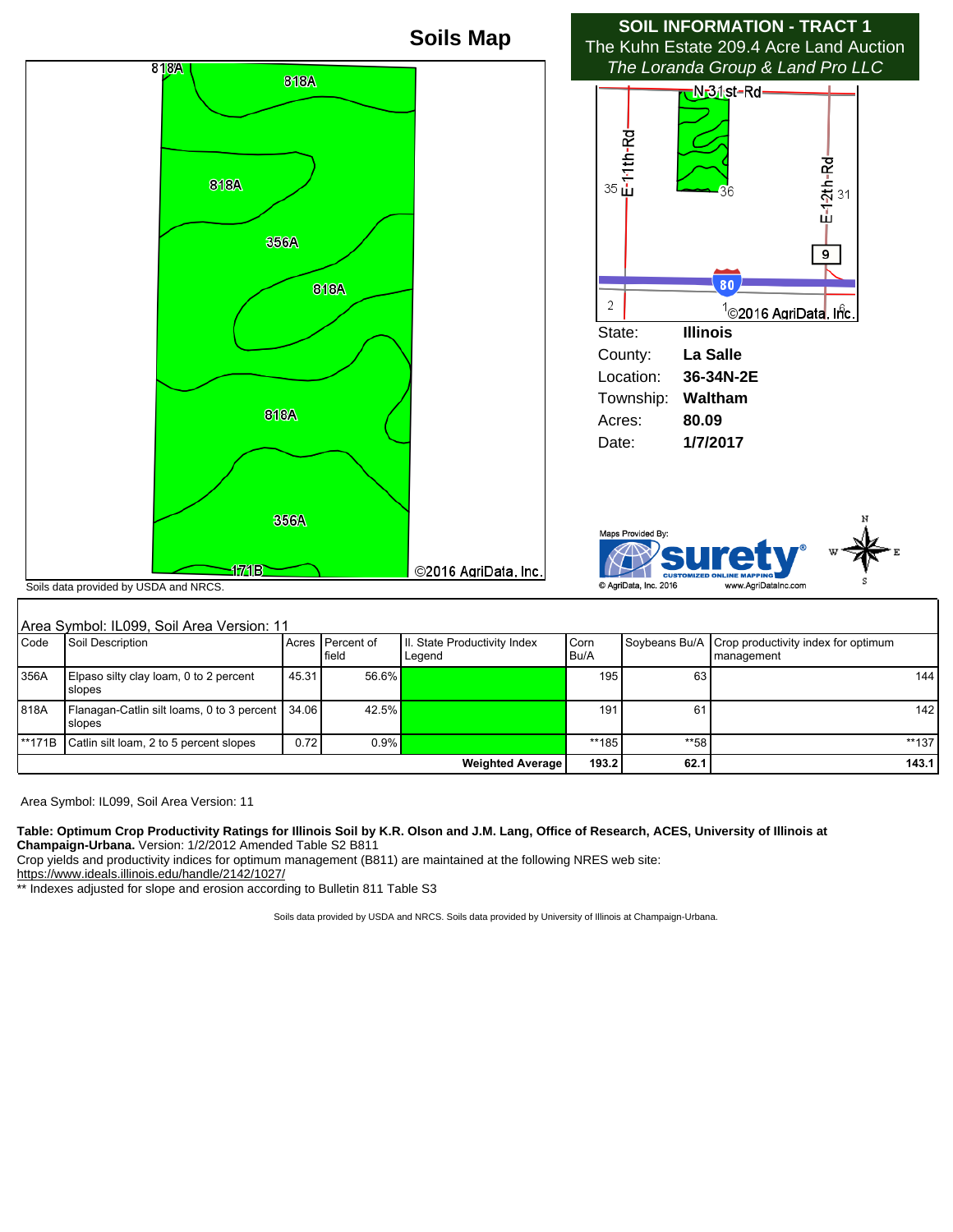

| Area Symbol: IL099, Soil Area Version: 11 |                                                                       |       |                             |                                        |              |      |                                                                   |         |
|-------------------------------------------|-----------------------------------------------------------------------|-------|-----------------------------|----------------------------------------|--------------|------|-------------------------------------------------------------------|---------|
| <b>Code</b>                               | Soil Description                                                      |       | Acres   Percent of<br>field | II. State Productivity Index<br>Legend | Corn<br>Bu/A |      | Soybeans Bu/A   Crop productivity index for optimum<br>management |         |
| 356A                                      | Elpaso silty clay loam, 0 to 2 percent<br><b>Slopes</b>               | 45.31 | 56.6%                       |                                        | 195          | 63   |                                                                   | 144     |
| 818A                                      | Flanagan-Catlin silt loams, 0 to 3 percent   34.06  <br><b>Slopes</b> |       | 42.5%                       |                                        | 191          | 61   |                                                                   | 142     |
| **171B                                    | Catlin silt loam, 2 to 5 percent slopes                               | 0.72  | 0.9%                        |                                        | **185        | **58 |                                                                   | $**137$ |
| <b>Weighted Average</b>                   |                                                                       |       |                             |                                        | 193.2        | 62.1 |                                                                   | 143.1   |

Area Symbol: IL099, Soil Area Version: 11

**Table: Optimum Crop Productivity Ratings for Illinois Soil by K.R. Olson and J.M. Lang, Office of Research, ACES, University of Illinois at Champaign-Urbana.** Version: 1/2/2012 Amended Table S2 B811

Crop yields and productivity indices for optimum management (B811) are maintained at the following NRES web site:

https://www.ideals.illinois.edu/handle/2142/1027/

\*\* Indexes adjusted for slope and erosion according to Bulletin 811 Table S3

Soils data provided by USDA and NRCS. Soils data provided by University of Illinois at Champaign-Urbana.